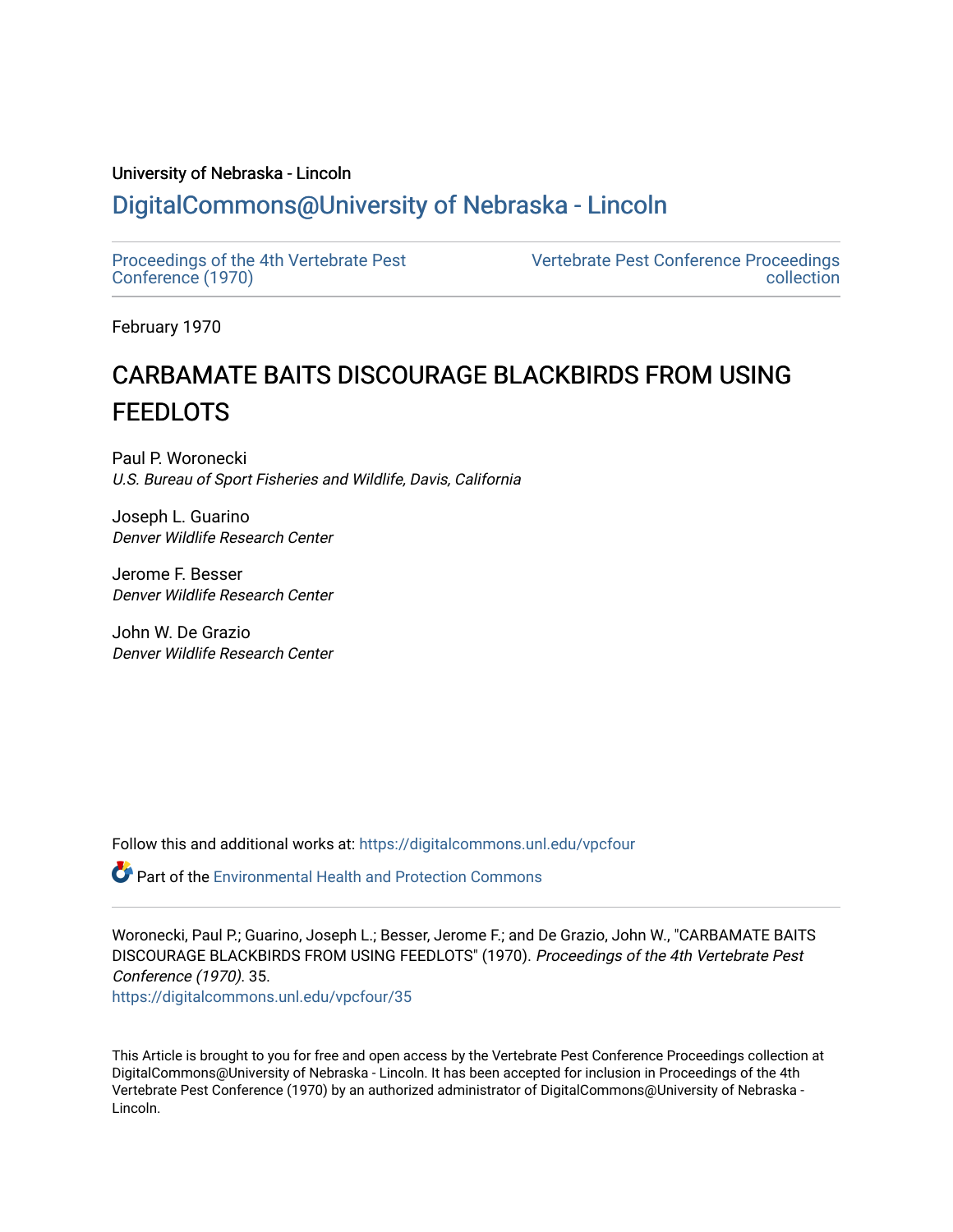# University of Nebraska - Lincoln [DigitalCommons@University of Nebraska - Lincoln](https://digitalcommons.unl.edu/)

[Proceedings of the 4th Vertebrate Pest](https://digitalcommons.unl.edu/vpcfour) [Conference \(1970\)](https://digitalcommons.unl.edu/vpcfour)

[Vertebrate Pest Conference Proceedings](https://digitalcommons.unl.edu/vpccollection)  [collection](https://digitalcommons.unl.edu/vpccollection) 

February 1970

# CARBAMATE BAITS DISCOURAGE BLACKBIRDS FROM USING **FEEDLOTS**

Paul P. Woronecki U.S. Bureau of Sport Fisheries and Wildlife, Davis, California

Joseph L. Guarino Denver Wildlife Research Center

Jerome F. Besser Denver Wildlife Research Center

John W. De Grazio Denver Wildlife Research Center

Follow this and additional works at: [https://digitalcommons.unl.edu/vpcfour](https://digitalcommons.unl.edu/vpcfour?utm_source=digitalcommons.unl.edu%2Fvpcfour%2F35&utm_medium=PDF&utm_campaign=PDFCoverPages)

 $\bullet$  Part of the Environmental Health and Protection Commons

Woronecki, Paul P.; Guarino, Joseph L.; Besser, Jerome F.; and De Grazio, John W., "CARBAMATE BAITS DISCOURAGE BLACKBIRDS FROM USING FEEDLOTS" (1970). Proceedings of the 4th Vertebrate Pest Conference (1970). 35. [https://digitalcommons.unl.edu/vpcfour/35](https://digitalcommons.unl.edu/vpcfour/35?utm_source=digitalcommons.unl.edu%2Fvpcfour%2F35&utm_medium=PDF&utm_campaign=PDFCoverPages) 

This Article is brought to you for free and open access by the Vertebrate Pest Conference Proceedings collection at DigitalCommons@University of Nebraska - Lincoln. It has been accepted for inclusion in Proceedings of the 4th Vertebrate Pest Conference (1970) by an authorized administrator of DigitalCommons@University of Nebraska - Lincoln.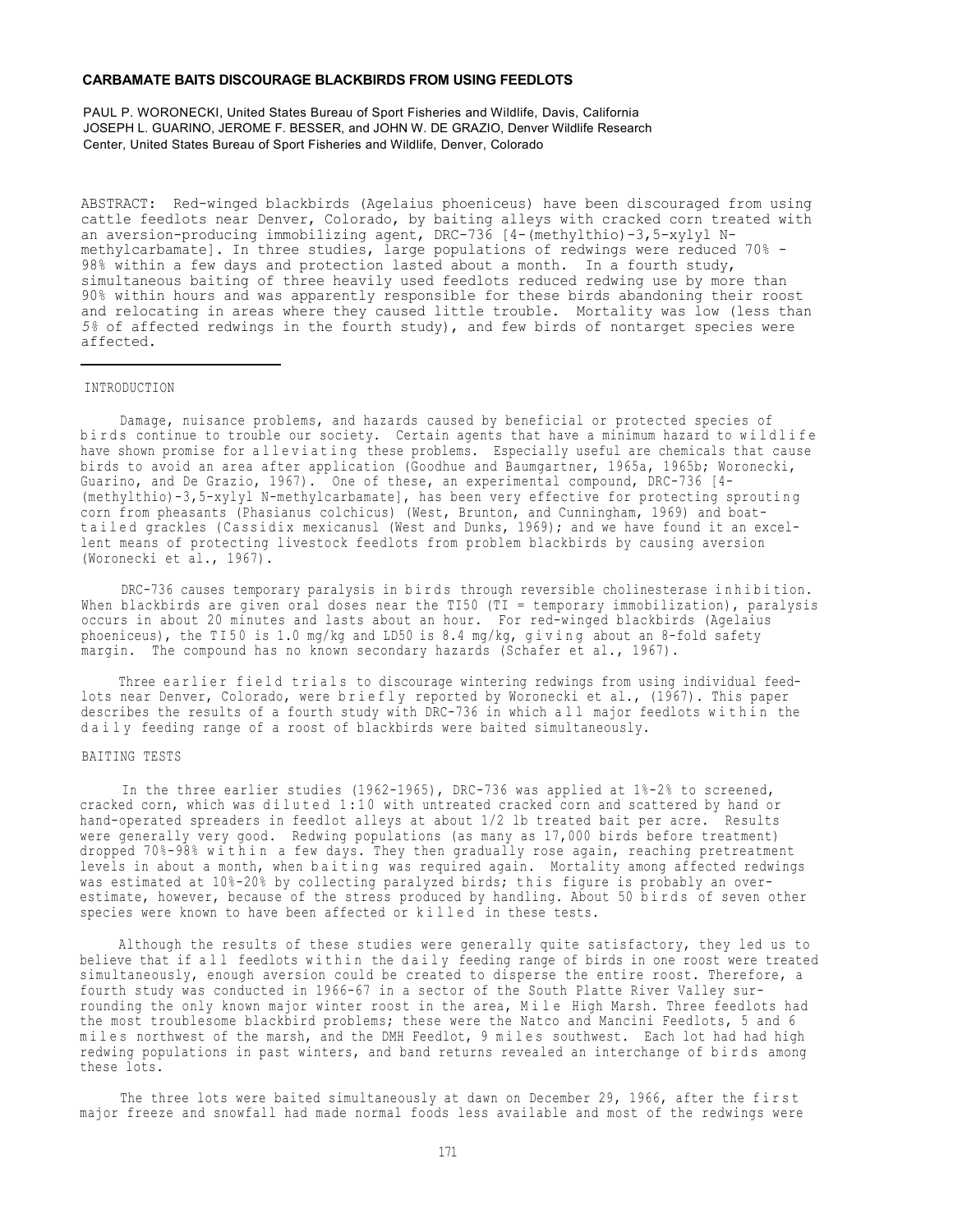### **CARBAMATE BAITS DISCOURAGE BLACKBIRDS FROM USING FEEDLOTS**

PAUL P. WORONECKI, United States Bureau of Sport Fisheries and Wildlife, Davis, California JOSEPH L. GUARINO, JEROME F. BESSER, and JOHN W. DE GRAZIO, Denver Wildlife Research Center, United States Bureau of Sport Fisheries and Wildlife, Denver, Colorado

ABSTRACT: Red-winged blackbirds (Agelaius phoeniceus) have been discouraged from using cattle feedlots near Denver, Colorado, by baiting alleys with cracked corn treated with an aversion-producing immobi1izing agent, DRC-736 [4-(methylthio)-3,5-xylyl Nmethylcarbamate]. In three studies, large populations of redwings were reduced 70% - 98% within a few days and protection lasted about a month. In a fourth study, simultaneous baiting of three heavily used feedlots reduced redwing use by more than 90% within hours and was apparently responsible for these birds abandoning their roost and relocating in areas where they caused little trouble. Mortality was low (less than *5%* of affected redwings in the fourth study), and few birds of nontarget species were affected.

## INTRODUCTION

Damage, nuisance problems, and hazards caused by beneficial or protected species of birds continue to trouble our society. Certain agents that have a minimum hazard to wildlife have shown promise for alleviating these problems. Especially useful are chemicals that cause birds to avoid an area after application (Goodhue and Baumgartner, 1965a, 1965b; Woronecki, Guarino, and De Grazio, 1967). One of these, an experimental compound, DRC-736 [4- (methylthio)-3,5-xylyl N-methylcarbamate], has been very effective for protecting sprouting corn from pheasants (Phasianus colchicus) (West, Brunton, and Cunningham, 1969) and boattailed grackles (Cassidix mexicanusl (West and Dunks, 1969); and we have found it an excellent means of protecting livestock feedlots from problem blackbirds by causing aversion (Woronecki et al., 1967).

DRC-736 causes temporary paralysis in birds through reversible cholinesterase inhibition. When blackbirds are given oral doses near the TI50 (TI = temporary immobilization), paralysis occurs in about 20 minutes and lasts about an hour. For red-winged blackbirds (Agelaius phoeniceus), the TI50 is 1.0 mg/kg and LD50 is 8.4 mg/kg, giving about an 8-fold safety margin. The compound has no known secondary hazards (Schafer et al., 1967).

Three earlier field trials to discourage wintering redwings from using individual feedlots near Denver, Colorado, were briefly reported by Woronecki et al., (1967). This paper describes the results of a fourth study with DRC-736 in which all major feedlots within the daily feeding range of a roost of blackbirds were baited simultaneously.

#### BAITING TESTS

In the three earlier studies (1962-1965), DRC-736 was applied at 1%-2% to screened, cracked corn, which was diluted 1:10 with untreated cracked corn and scattered by hand or hand-operated spreaders in feedlot alleys at about 1/2 lb treated bait per acre. Results were generally very good. Redwing populations (as many as 17,000 birds before treatment) dropped 70%-98% within a few days. They then gradually rose again, reaching pretreatment levels in about a month, when baiting was required again. Mortality among affected redwings was estimated at 10%-20% by collecting paralyzed birds; this figure is probably an overestimate, however, because of the stress produced by handling. About 50 birds of seven other species were known to have been affected or killed in these tests.

Although the results of these studies were generally quite satisfactory, they led us to believe that if all feedlots within the daily feeding range of birds in one roost were treated simultaneously, enough aversion could be created to disperse the entire roost. Therefore, a fourth study was conducted in 1966-67 in a sector of the South Platte River Valley surrounding the only known major winter roost in the area, Mile High Marsh. Three feedlots had the most troublesome blackbird problems; these were the Natco and Mancini Feedlots, 5 and 6 miles northwest of the marsh, and the DMH Feedlot, 9 miles southwest. Each lot had had high redwing populations in past winters, and band returns revealed an interchange of birds among these lots.

The three lots were baited simultaneously at dawn on December 29, 1966, after the first major freeze and snowfall had made normal foods less available and most of the redwings were